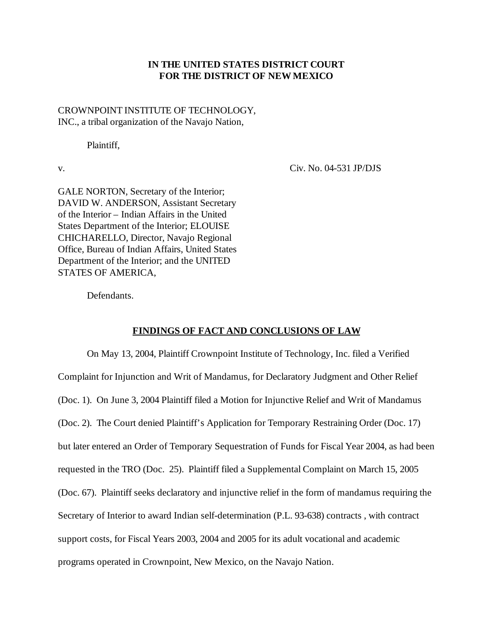# **IN THE UNITED STATES DISTRICT COURT FOR THE DISTRICT OF NEW MEXICO**

CROWNPOINT INSTITUTE OF TECHNOLOGY, INC., a tribal organization of the Navajo Nation,

Plaintiff,

v. Civ. No. 04-531 JP/DJS

GALE NORTON, Secretary of the Interior; DAVID W. ANDERSON, Assistant Secretary of the Interior – Indian Affairs in the United States Department of the Interior; ELOUISE CHICHARELLO, Director, Navajo Regional Office, Bureau of Indian Affairs, United States Department of the Interior; and the UNITED STATES OF AMERICA,

Defendants.

#### **FINDINGS OF FACT AND CONCLUSIONS OF LAW**

On May 13, 2004, Plaintiff Crownpoint Institute of Technology, Inc. filed a Verified Complaint for Injunction and Writ of Mandamus, for Declaratory Judgment and Other Relief (Doc. 1). On June 3, 2004 Plaintiff filed a Motion for Injunctive Relief and Writ of Mandamus (Doc. 2). The Court denied Plaintiff's Application for Temporary Restraining Order (Doc. 17) but later entered an Order of Temporary Sequestration of Funds for Fiscal Year 2004, as had been requested in the TRO (Doc. 25). Plaintiff filed a Supplemental Complaint on March 15, 2005 (Doc. 67). Plaintiff seeks declaratory and injunctive relief in the form of mandamus requiring the Secretary of Interior to award Indian self-determination (P.L. 93-638) contracts , with contract support costs, for Fiscal Years 2003, 2004 and 2005 for its adult vocational and academic programs operated in Crownpoint, New Mexico, on the Navajo Nation.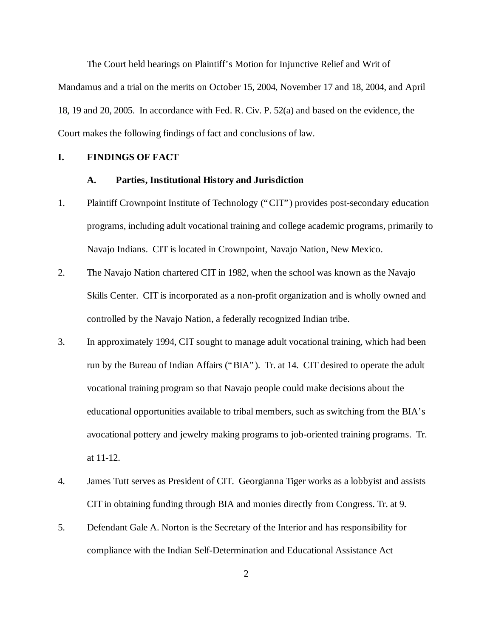The Court held hearings on Plaintiff's Motion for Injunctive Relief and Writ of Mandamus and a trial on the merits on October 15, 2004, November 17 and 18, 2004, and April 18, 19 and 20, 2005. In accordance with Fed. R. Civ. P. 52(a) and based on the evidence, the Court makes the following findings of fact and conclusions of law.

#### **I. FINDINGS OF FACT**

#### **A. Parties, Institutional History and Jurisdiction**

- 1. Plaintiff Crownpoint Institute of Technology ("CIT") provides post-secondary education programs, including adult vocational training and college academic programs, primarily to Navajo Indians. CIT is located in Crownpoint, Navajo Nation, New Mexico.
- 2. The Navajo Nation chartered CIT in 1982, when the school was known as the Navajo Skills Center. CIT is incorporated as a non-profit organization and is wholly owned and controlled by the Navajo Nation, a federally recognized Indian tribe.
- 3. In approximately 1994, CIT sought to manage adult vocational training, which had been run by the Bureau of Indian Affairs ("BIA"). Tr. at 14. CIT desired to operate the adult vocational training program so that Navajo people could make decisions about the educational opportunities available to tribal members, such as switching from the BIA's avocational pottery and jewelry making programs to job-oriented training programs. Tr. at 11-12.
- 4. James Tutt serves as President of CIT. Georgianna Tiger works as a lobbyist and assists CIT in obtaining funding through BIA and monies directly from Congress. Tr. at 9.
- 5. Defendant Gale A. Norton is the Secretary of the Interior and has responsibility for compliance with the Indian Self-Determination and Educational Assistance Act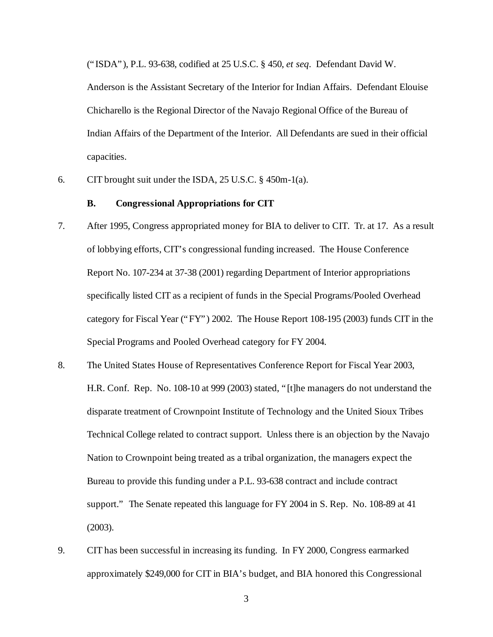("ISDA"), P.L. 93-638, codified at 25 U.S.C. § 450, *et seq.* Defendant David W.

Anderson is the Assistant Secretary of the Interior for Indian Affairs. Defendant Elouise Chicharello is the Regional Director of the Navajo Regional Office of the Bureau of Indian Affairs of the Department of the Interior. All Defendants are sued in their official capacities.

6. CIT brought suit under the ISDA, 25 U.S.C. § 450m-1(a).

#### **B. Congressional Appropriations for CIT**

- 7. After 1995, Congress appropriated money for BIA to deliver to CIT. Tr. at 17. As a result of lobbying efforts, CIT's congressional funding increased. The House Conference Report No. 107-234 at 37-38 (2001) regarding Department of Interior appropriations specifically listed CIT as a recipient of funds in the Special Programs/Pooled Overhead category for Fiscal Year ("FY") 2002. The House Report 108-195 (2003) funds CIT in the Special Programs and Pooled Overhead category for FY 2004.
- 8. The United States House of Representatives Conference Report for Fiscal Year 2003, H.R. Conf. Rep. No. 108-10 at 999 (2003) stated, "[t]he managers do not understand the disparate treatment of Crownpoint Institute of Technology and the United Sioux Tribes Technical College related to contract support. Unless there is an objection by the Navajo Nation to Crownpoint being treated as a tribal organization, the managers expect the Bureau to provide this funding under a P.L. 93-638 contract and include contract support." The Senate repeated this language for FY 2004 in S. Rep. No. 108-89 at 41 (2003).
- 9. CIT has been successful in increasing its funding. In FY 2000, Congress earmarked approximately \$249,000 for CIT in BIA's budget, and BIA honored this Congressional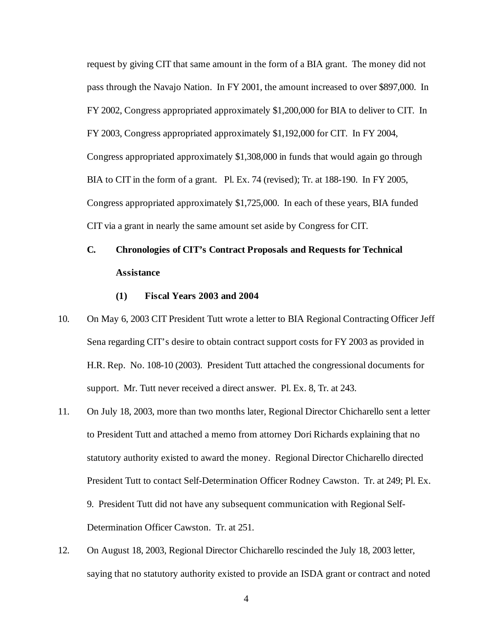request by giving CIT that same amount in the form of a BIA grant. The money did not pass through the Navajo Nation. In FY 2001, the amount increased to over \$897,000. In FY 2002, Congress appropriated approximately \$1,200,000 for BIA to deliver to CIT. In FY 2003, Congress appropriated approximately \$1,192,000 for CIT. In FY 2004, Congress appropriated approximately \$1,308,000 in funds that would again go through BIA to CIT in the form of a grant. Pl. Ex. 74 (revised); Tr. at 188-190. In FY 2005, Congress appropriated approximately \$1,725,000. In each of these years, BIA funded CIT via a grant in nearly the same amount set aside by Congress for CIT.

# **C. Chronologies of CIT's Contract Proposals and Requests for Technical Assistance**

#### **(1) Fiscal Years 2003 and 2004**

- 10. On May 6, 2003 CIT President Tutt wrote a letter to BIA Regional Contracting Officer Jeff Sena regarding CIT's desire to obtain contract support costs for FY 2003 as provided in H.R. Rep. No. 108-10 (2003). President Tutt attached the congressional documents for support. Mr. Tutt never received a direct answer. Pl. Ex. 8, Tr. at 243.
- 11. On July 18, 2003, more than two months later, Regional Director Chicharello sent a letter to President Tutt and attached a memo from attorney Dori Richards explaining that no statutory authority existed to award the money. Regional Director Chicharello directed President Tutt to contact Self-Determination Officer Rodney Cawston. Tr. at 249; Pl. Ex. 9. President Tutt did not have any subsequent communication with Regional Self-Determination Officer Cawston. Tr. at 251.
- 12. On August 18, 2003, Regional Director Chicharello rescinded the July 18, 2003 letter, saying that no statutory authority existed to provide an ISDA grant or contract and noted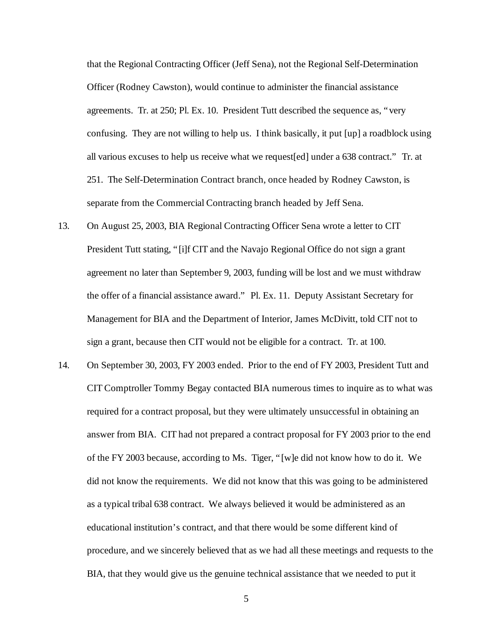that the Regional Contracting Officer (Jeff Sena), not the Regional Self-Determination Officer (Rodney Cawston), would continue to administer the financial assistance agreements. Tr. at 250; Pl. Ex. 10. President Tutt described the sequence as, "very confusing. They are not willing to help us. I think basically, it put [up] a roadblock using all various excuses to help us receive what we request[ed] under a 638 contract." Tr. at 251. The Self-Determination Contract branch, once headed by Rodney Cawston, is separate from the Commercial Contracting branch headed by Jeff Sena.

- 13. On August 25, 2003, BIA Regional Contracting Officer Sena wrote a letter to CIT President Tutt stating, "[i]f CIT and the Navajo Regional Office do not sign a grant agreement no later than September 9, 2003, funding will be lost and we must withdraw the offer of a financial assistance award." Pl. Ex. 11. Deputy Assistant Secretary for Management for BIA and the Department of Interior, James McDivitt, told CIT not to sign a grant, because then CIT would not be eligible for a contract. Tr. at 100.
- 14. On September 30, 2003, FY 2003 ended. Prior to the end of FY 2003, President Tutt and CIT Comptroller Tommy Begay contacted BIA numerous times to inquire as to what was required for a contract proposal, but they were ultimately unsuccessful in obtaining an answer from BIA. CIT had not prepared a contract proposal for FY 2003 prior to the end of the FY 2003 because, according to Ms. Tiger, "[w]e did not know how to do it. We did not know the requirements. We did not know that this was going to be administered as a typical tribal 638 contract. We always believed it would be administered as an educational institution's contract, and that there would be some different kind of procedure, and we sincerely believed that as we had all these meetings and requests to the BIA, that they would give us the genuine technical assistance that we needed to put it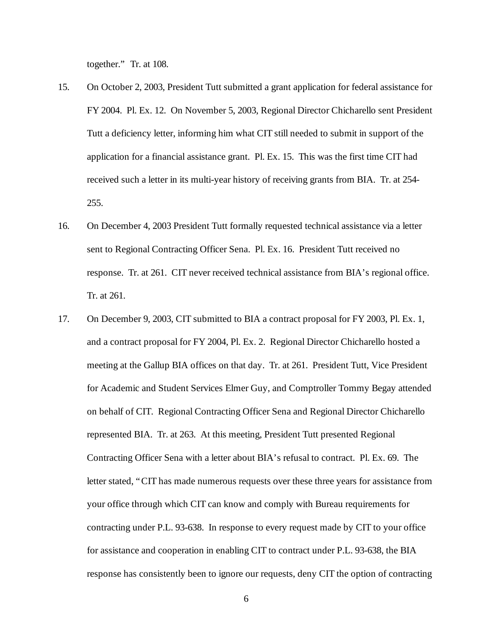together." Tr. at 108.

- 15. On October 2, 2003, President Tutt submitted a grant application for federal assistance for FY 2004. Pl. Ex. 12. On November 5, 2003, Regional Director Chicharello sent President Tutt a deficiency letter, informing him what CIT still needed to submit in support of the application for a financial assistance grant. Pl. Ex. 15. This was the first time CIT had received such a letter in its multi-year history of receiving grants from BIA. Tr. at 254- 255.
- 16. On December 4, 2003 President Tutt formally requested technical assistance via a letter sent to Regional Contracting Officer Sena. Pl. Ex. 16. President Tutt received no response. Tr. at 261. CIT never received technical assistance from BIA's regional office. Tr. at 261.
- 17. On December 9, 2003, CIT submitted to BIA a contract proposal for FY 2003, Pl. Ex. 1, and a contract proposal for FY 2004, Pl. Ex. 2. Regional Director Chicharello hosted a meeting at the Gallup BIA offices on that day. Tr. at 261. President Tutt, Vice President for Academic and Student Services Elmer Guy, and Comptroller Tommy Begay attended on behalf of CIT. Regional Contracting Officer Sena and Regional Director Chicharello represented BIA. Tr. at 263. At this meeting, President Tutt presented Regional Contracting Officer Sena with a letter about BIA's refusal to contract. Pl. Ex. 69. The letter stated, "CIT has made numerous requests over these three years for assistance from your office through which CIT can know and comply with Bureau requirements for contracting under P.L. 93-638. In response to every request made by CIT to your office for assistance and cooperation in enabling CIT to contract under P.L. 93-638, the BIA response has consistently been to ignore our requests, deny CIT the option of contracting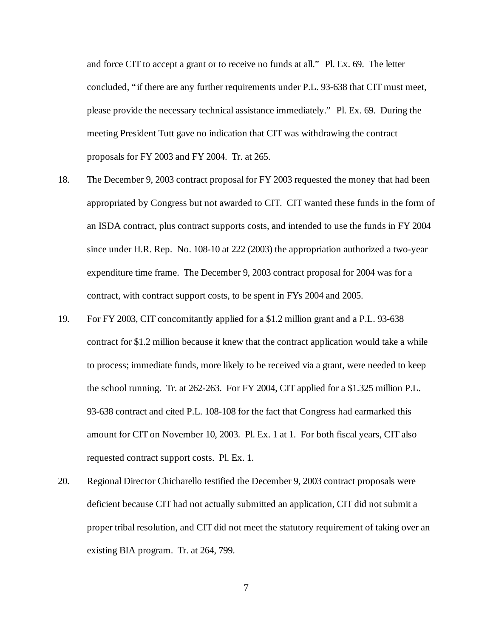and force CIT to accept a grant or to receive no funds at all." Pl. Ex. 69. The letter concluded, "if there are any further requirements under P.L. 93-638 that CIT must meet, please provide the necessary technical assistance immediately." Pl. Ex. 69. During the meeting President Tutt gave no indication that CIT was withdrawing the contract proposals for FY 2003 and FY 2004. Tr. at 265.

- 18. The December 9, 2003 contract proposal for FY 2003 requested the money that had been appropriated by Congress but not awarded to CIT. CIT wanted these funds in the form of an ISDA contract, plus contract supports costs, and intended to use the funds in FY 2004 since under H.R. Rep. No. 108-10 at 222 (2003) the appropriation authorized a two-year expenditure time frame. The December 9, 2003 contract proposal for 2004 was for a contract, with contract support costs, to be spent in FYs 2004 and 2005.
- 19. For FY 2003, CIT concomitantly applied for a \$1.2 million grant and a P.L. 93-638 contract for \$1.2 million because it knew that the contract application would take a while to process; immediate funds, more likely to be received via a grant, were needed to keep the school running. Tr. at 262-263. For FY 2004, CIT applied for a \$1.325 million P.L. 93-638 contract and cited P.L. 108-108 for the fact that Congress had earmarked this amount for CIT on November 10, 2003. Pl. Ex. 1 at 1. For both fiscal years, CIT also requested contract support costs. Pl. Ex. 1.
- 20. Regional Director Chicharello testified the December 9, 2003 contract proposals were deficient because CIT had not actually submitted an application, CIT did not submit a proper tribal resolution, and CIT did not meet the statutory requirement of taking over an existing BIA program. Tr. at 264, 799.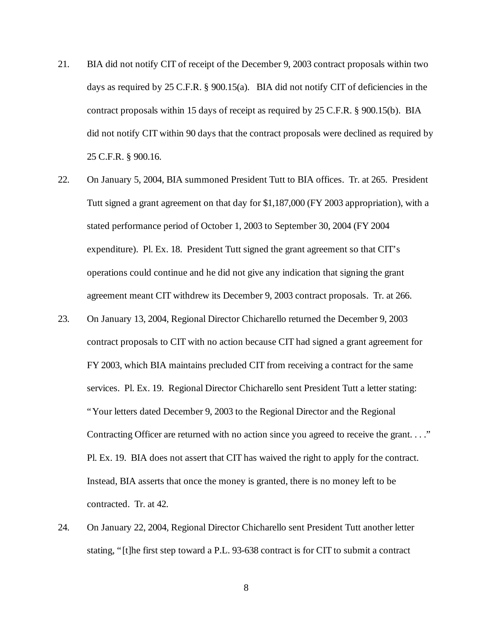- 21. BIA did not notify CIT of receipt of the December 9, 2003 contract proposals within two days as required by 25 C.F.R. § 900.15(a). BIA did not notify CIT of deficiencies in the contract proposals within 15 days of receipt as required by 25 C.F.R. § 900.15(b). BIA did not notify CIT within 90 days that the contract proposals were declined as required by 25 C.F.R. § 900.16.
- 22. On January 5, 2004, BIA summoned President Tutt to BIA offices. Tr. at 265. President Tutt signed a grant agreement on that day for \$1,187,000 (FY 2003 appropriation), with a stated performance period of October 1, 2003 to September 30, 2004 (FY 2004 expenditure). Pl. Ex. 18. President Tutt signed the grant agreement so that CIT's operations could continue and he did not give any indication that signing the grant agreement meant CIT withdrew its December 9, 2003 contract proposals. Tr. at 266.
- 23. On January 13, 2004, Regional Director Chicharello returned the December 9, 2003 contract proposals to CIT with no action because CIT had signed a grant agreement for FY 2003, which BIA maintains precluded CIT from receiving a contract for the same services. Pl. Ex. 19. Regional Director Chicharello sent President Tutt a letter stating: "Your letters dated December 9, 2003 to the Regional Director and the Regional Contracting Officer are returned with no action since you agreed to receive the grant. . . ." Pl. Ex. 19. BIA does not assert that CIT has waived the right to apply for the contract. Instead, BIA asserts that once the money is granted, there is no money left to be contracted. Tr. at 42.
- 24. On January 22, 2004, Regional Director Chicharello sent President Tutt another letter stating, "[t]he first step toward a P.L. 93-638 contract is for CIT to submit a contract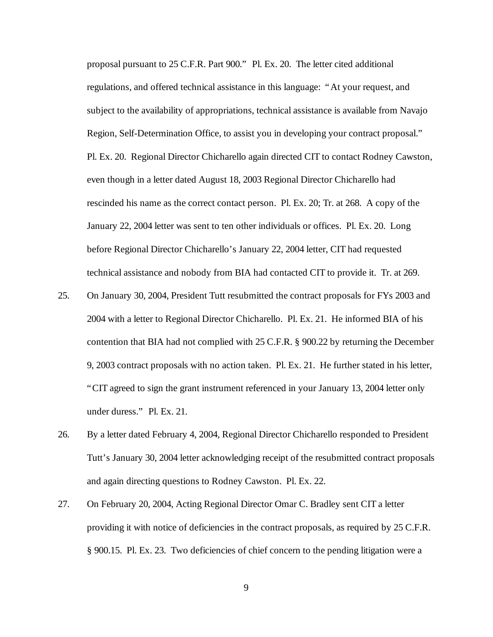proposal pursuant to 25 C.F.R. Part 900." Pl. Ex. 20. The letter cited additional regulations, and offered technical assistance in this language: "At your request, and subject to the availability of appropriations, technical assistance is available from Navajo Region, Self-Determination Office, to assist you in developing your contract proposal." Pl. Ex. 20. Regional Director Chicharello again directed CIT to contact Rodney Cawston, even though in a letter dated August 18, 2003 Regional Director Chicharello had rescinded his name as the correct contact person. Pl. Ex. 20; Tr. at 268. A copy of the January 22, 2004 letter was sent to ten other individuals or offices. Pl. Ex. 20. Long before Regional Director Chicharello's January 22, 2004 letter, CIT had requested technical assistance and nobody from BIA had contacted CIT to provide it. Tr. at 269.

- 25. On January 30, 2004, President Tutt resubmitted the contract proposals for FYs 2003 and 2004 with a letter to Regional Director Chicharello. Pl. Ex. 21. He informed BIA of his contention that BIA had not complied with 25 C.F.R. § 900.22 by returning the December 9, 2003 contract proposals with no action taken. Pl. Ex. 21. He further stated in his letter, "CIT agreed to sign the grant instrument referenced in your January 13, 2004 letter only under duress." Pl. Ex. 21.
- 26. By a letter dated February 4, 2004, Regional Director Chicharello responded to President Tutt's January 30, 2004 letter acknowledging receipt of the resubmitted contract proposals and again directing questions to Rodney Cawston. Pl. Ex. 22.
- 27. On February 20, 2004, Acting Regional Director Omar C. Bradley sent CIT a letter providing it with notice of deficiencies in the contract proposals, as required by 25 C.F.R. § 900.15. Pl. Ex. 23. Two deficiencies of chief concern to the pending litigation were a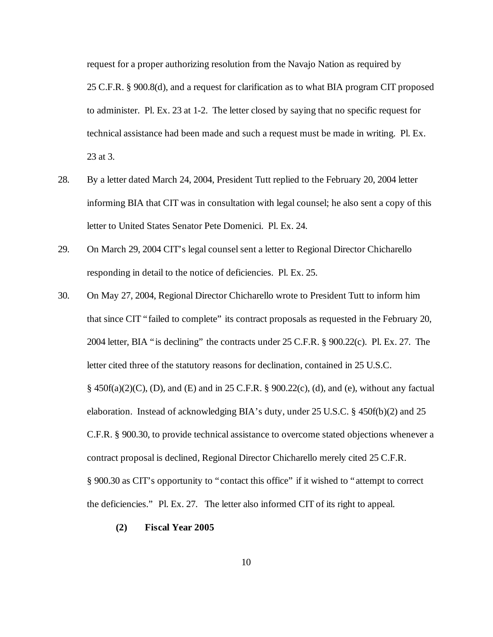request for a proper authorizing resolution from the Navajo Nation as required by 25 C.F.R. § 900.8(d), and a request for clarification as to what BIA program CIT proposed to administer. Pl. Ex. 23 at 1-2. The letter closed by saying that no specific request for technical assistance had been made and such a request must be made in writing. Pl. Ex. 23 at 3.

- 28. By a letter dated March 24, 2004, President Tutt replied to the February 20, 2004 letter informing BIA that CIT was in consultation with legal counsel; he also sent a copy of this letter to United States Senator Pete Domenici. Pl. Ex. 24.
- 29. On March 29, 2004 CIT's legal counsel sent a letter to Regional Director Chicharello responding in detail to the notice of deficiencies. Pl. Ex. 25.
- 30. On May 27, 2004, Regional Director Chicharello wrote to President Tutt to inform him that since CIT "failed to complete" its contract proposals as requested in the February 20, 2004 letter, BIA "is declining" the contracts under 25 C.F.R. § 900.22(c). Pl. Ex. 27. The letter cited three of the statutory reasons for declination, contained in 25 U.S.C. § 450f(a)(2)(C), (D), and (E) and in 25 C.F.R. § 900.22(c), (d), and (e), without any factual elaboration. Instead of acknowledging BIA's duty, under 25 U.S.C. § 450f(b)(2) and 25 C.F.R. § 900.30, to provide technical assistance to overcome stated objections whenever a contract proposal is declined, Regional Director Chicharello merely cited 25 C.F.R. § 900.30 as CIT's opportunity to "contact this office" if it wished to "attempt to correct the deficiencies." Pl. Ex. 27. The letter also informed CIT of its right to appeal.
	- **(2) Fiscal Year 2005**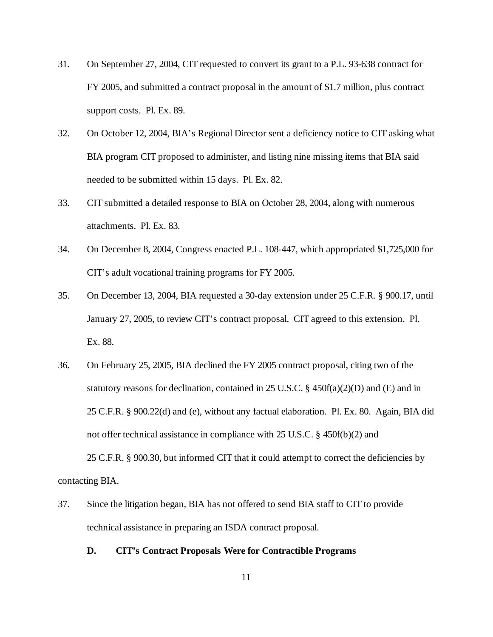- 31. On September 27, 2004, CIT requested to convert its grant to a P.L. 93-638 contract for FY 2005, and submitted a contract proposal in the amount of \$1.7 million, plus contract support costs. Pl. Ex. 89.
- 32. On October 12, 2004, BIA's Regional Director sent a deficiency notice to CIT asking what BIA program CIT proposed to administer, and listing nine missing items that BIA said needed to be submitted within 15 days. Pl. Ex. 82.
- 33. CIT submitted a detailed response to BIA on October 28, 2004, along with numerous attachments. Pl. Ex. 83.
- 34. On December 8, 2004, Congress enacted P.L. 108-447, which appropriated \$1,725,000 for CIT's adult vocational training programs for FY 2005.
- 35. On December 13, 2004, BIA requested a 30-day extension under 25 C.F.R. § 900.17, until January 27, 2005, to review CIT's contract proposal. CIT agreed to this extension. Pl. Ex. 88.
- 36. On February 25, 2005, BIA declined the FY 2005 contract proposal, citing two of the statutory reasons for declination, contained in 25 U.S.C. § 450f(a)(2)(D) and (E) and in 25 C.F.R. § 900.22(d) and (e), without any factual elaboration. Pl. Ex. 80. Again, BIA did not offer technical assistance in compliance with 25 U.S.C. § 450f(b)(2) and 25 C.F.R. § 900.30, but informed CIT that it could attempt to correct the deficiencies by

contacting BIA.

- 37. Since the litigation began, BIA has not offered to send BIA staff to CIT to provide technical assistance in preparing an ISDA contract proposal.
	- **D. CIT's Contract Proposals Were for Contractible Programs**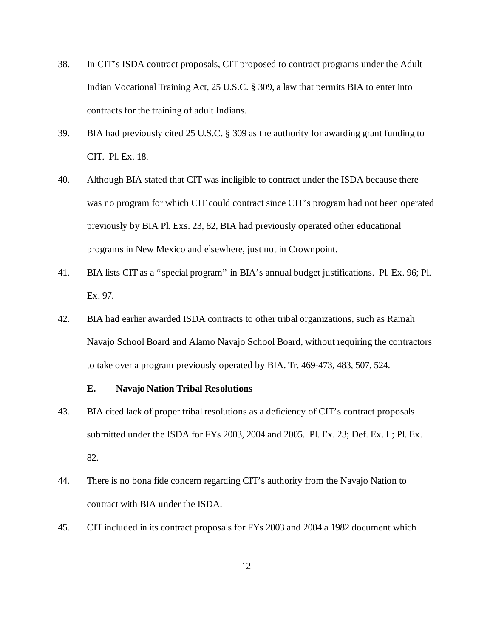- 38. In CIT's ISDA contract proposals, CIT proposed to contract programs under the Adult Indian Vocational Training Act, 25 U.S.C. § 309, a law that permits BIA to enter into contracts for the training of adult Indians.
- 39. BIA had previously cited 25 U.S.C. § 309 as the authority for awarding grant funding to CIT. Pl. Ex. 18.
- 40. Although BIA stated that CIT was ineligible to contract under the ISDA because there was no program for which CIT could contract since CIT's program had not been operated previously by BIA Pl. Exs. 23, 82, BIA had previously operated other educational programs in New Mexico and elsewhere, just not in Crownpoint.
- 41. BIA lists CIT as a "special program" in BIA's annual budget justifications. Pl. Ex. 96; Pl. Ex. 97.
- 42. BIA had earlier awarded ISDA contracts to other tribal organizations, such as Ramah Navajo School Board and Alamo Navajo School Board, without requiring the contractors to take over a program previously operated by BIA. Tr. 469-473, 483, 507, 524.

#### **E. Navajo Nation Tribal Resolutions**

- 43. BIA cited lack of proper tribal resolutions as a deficiency of CIT's contract proposals submitted under the ISDA for FYs 2003, 2004 and 2005. Pl. Ex. 23; Def. Ex. L; Pl. Ex. 82.
- 44. There is no bona fide concern regarding CIT's authority from the Navajo Nation to contract with BIA under the ISDA.
- 45. CIT included in its contract proposals for FYs 2003 and 2004 a 1982 document which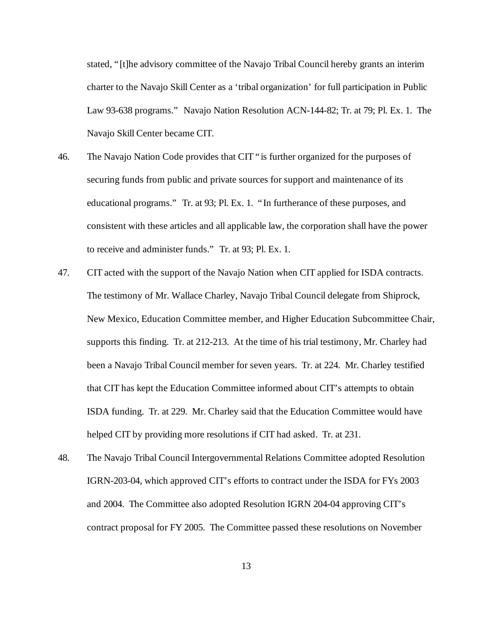stated, "[t]he advisory committee of the Navajo Tribal Council hereby grants an interim charter to the Navajo Skill Center as a 'tribal organization' for full participation in Public Law 93-638 programs." Navajo Nation Resolution ACN-144-82; Tr. at 79; Pl. Ex. 1. The Navajo Skill Center became CIT.

- 46. The Navajo Nation Code provides that CIT "is further organized for the purposes of securing funds from public and private sources for support and maintenance of its educational programs." Tr. at 93; Pl. Ex. 1. "In furtherance of these purposes, and consistent with these articles and all applicable law, the corporation shall have the power to receive and administer funds." Tr. at 93; Pl. Ex. 1.
- 47. CIT acted with the support of the Navajo Nation when CIT applied for ISDA contracts. The testimony of Mr. Wallace Charley, Navajo Tribal Council delegate from Shiprock, New Mexico, Education Committee member, and Higher Education Subcommittee Chair, supports this finding. Tr. at 212-213. At the time of his trial testimony, Mr. Charley had been a Navajo Tribal Council member for seven years. Tr. at 224. Mr. Charley testified that CIT has kept the Education Committee informed about CIT's attempts to obtain ISDA funding. Tr. at 229. Mr. Charley said that the Education Committee would have helped CIT by providing more resolutions if CIT had asked. Tr. at 231.
- 48. The Navajo Tribal Council Intergovernmental Relations Committee adopted Resolution IGRN-203-04, which approved CIT's efforts to contract under the ISDA for FYs 2003 and 2004. The Committee also adopted Resolution IGRN 204-04 approving CIT's contract proposal for FY 2005. The Committee passed these resolutions on November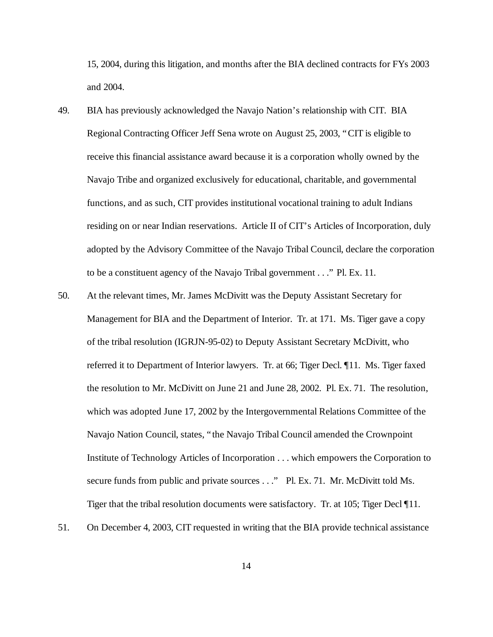15, 2004, during this litigation, and months after the BIA declined contracts for FYs 2003 and 2004.

- 49. BIA has previously acknowledged the Navajo Nation's relationship with CIT. BIA Regional Contracting Officer Jeff Sena wrote on August 25, 2003, "CIT is eligible to receive this financial assistance award because it is a corporation wholly owned by the Navajo Tribe and organized exclusively for educational, charitable, and governmental functions, and as such, CIT provides institutional vocational training to adult Indians residing on or near Indian reservations. Article II of CIT's Articles of Incorporation, duly adopted by the Advisory Committee of the Navajo Tribal Council, declare the corporation to be a constituent agency of the Navajo Tribal government . . ." Pl. Ex. 11.
- 50. At the relevant times, Mr. James McDivitt was the Deputy Assistant Secretary for Management for BIA and the Department of Interior. Tr. at 171. Ms. Tiger gave a copy of the tribal resolution (IGRJN-95-02) to Deputy Assistant Secretary McDivitt, who referred it to Department of Interior lawyers. Tr. at 66; Tiger Decl. ¶11. Ms. Tiger faxed the resolution to Mr. McDivitt on June 21 and June 28, 2002. Pl. Ex. 71. The resolution, which was adopted June 17, 2002 by the Intergovernmental Relations Committee of the Navajo Nation Council, states, "the Navajo Tribal Council amended the Crownpoint Institute of Technology Articles of Incorporation . . . which empowers the Corporation to secure funds from public and private sources . . ." Pl. Ex. 71. Mr. McDivitt told Ms. Tiger that the tribal resolution documents were satisfactory. Tr. at 105; Tiger Decl ¶11.
- 51. On December 4, 2003, CIT requested in writing that the BIA provide technical assistance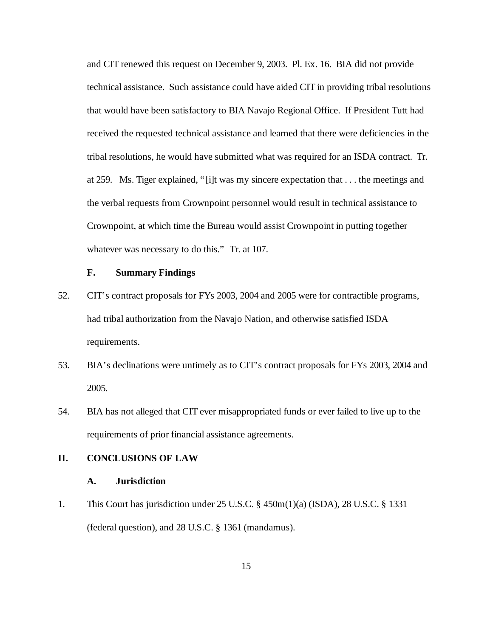and CIT renewed this request on December 9, 2003. Pl. Ex. 16. BIA did not provide technical assistance. Such assistance could have aided CIT in providing tribal resolutions that would have been satisfactory to BIA Navajo Regional Office. If President Tutt had received the requested technical assistance and learned that there were deficiencies in the tribal resolutions, he would have submitted what was required for an ISDA contract. Tr. at 259. Ms. Tiger explained, "[i]t was my sincere expectation that . . . the meetings and the verbal requests from Crownpoint personnel would result in technical assistance to Crownpoint, at which time the Bureau would assist Crownpoint in putting together whatever was necessary to do this." Tr. at 107.

#### **F. Summary Findings**

- 52. CIT's contract proposals for FYs 2003, 2004 and 2005 were for contractible programs, had tribal authorization from the Navajo Nation, and otherwise satisfied ISDA requirements.
- 53. BIA's declinations were untimely as to CIT's contract proposals for FYs 2003, 2004 and 2005.
- 54. BIA has not alleged that CIT ever misappropriated funds or ever failed to live up to the requirements of prior financial assistance agreements.

# **II. CONCLUSIONS OF LAW**

#### **A. Jurisdiction**

1. This Court has jurisdiction under 25 U.S.C. § 450m(1)(a) (ISDA), 28 U.S.C. § 1331 (federal question), and 28 U.S.C. § 1361 (mandamus).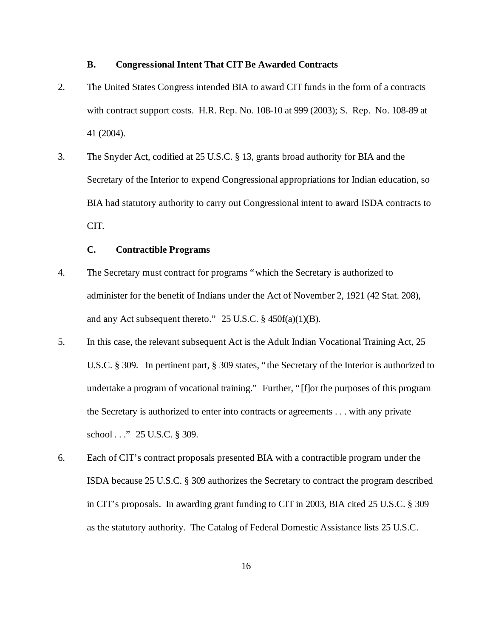#### **B. Congressional Intent That CIT Be Awarded Contracts**

- 2. The United States Congress intended BIA to award CIT funds in the form of a contracts with contract support costs. H.R. Rep. No. 108-10 at 999 (2003); S. Rep. No. 108-89 at 41 (2004).
- 3. The Snyder Act, codified at 25 U.S.C. § 13, grants broad authority for BIA and the Secretary of the Interior to expend Congressional appropriations for Indian education, so BIA had statutory authority to carry out Congressional intent to award ISDA contracts to CIT.

### **C. Contractible Programs**

- 4. The Secretary must contract for programs "which the Secretary is authorized to administer for the benefit of Indians under the Act of November 2, 1921 (42 Stat. 208), and any Act subsequent thereto." 25 U.S.C. § 450f(a)(1)(B).
- 5. In this case, the relevant subsequent Act is the Adult Indian Vocational Training Act, 25 U.S.C. § 309. In pertinent part, § 309 states, "the Secretary of the Interior is authorized to undertake a program of vocational training." Further, "[f]or the purposes of this program the Secretary is authorized to enter into contracts or agreements . . . with any private school . . ." 25 U.S.C. § 309.
- 6. Each of CIT's contract proposals presented BIA with a contractible program under the ISDA because 25 U.S.C. § 309 authorizes the Secretary to contract the program described in CIT's proposals. In awarding grant funding to CIT in 2003, BIA cited 25 U.S.C. § 309 as the statutory authority. The Catalog of Federal Domestic Assistance lists 25 U.S.C.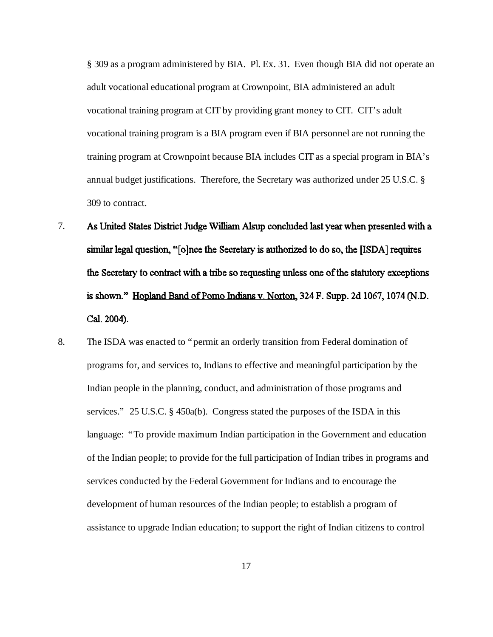§ 309 as a program administered by BIA. Pl. Ex. 31. Even though BIA did not operate an adult vocational educational program at Crownpoint, BIA administered an adult vocational training program at CIT by providing grant money to CIT. CIT's adult vocational training program is a BIA program even if BIA personnel are not running the training program at Crownpoint because BIA includes CIT as a special program in BIA's annual budget justifications. Therefore, the Secretary was authorized under 25 U.S.C. § 309 to contract.

- 7. As United States District Judge William Alsup concluded last year when presented with a similar legal question, "[o]nce the Secretary is authorized to do so, the [ISDA] requires the Secretary to contract with a tribe so requesting unless one of the statutory exceptions is shown." Hopland Band of Pomo Indians v. Norton, 324 F. Supp. 2d 1067, 1074 (N.D. Cal. 2004).
- 8. The ISDA was enacted to "permit an orderly transition from Federal domination of programs for, and services to, Indians to effective and meaningful participation by the Indian people in the planning, conduct, and administration of those programs and services." 25 U.S.C. § 450a(b). Congress stated the purposes of the ISDA in this language: "To provide maximum Indian participation in the Government and education of the Indian people; to provide for the full participation of Indian tribes in programs and services conducted by the Federal Government for Indians and to encourage the development of human resources of the Indian people; to establish a program of assistance to upgrade Indian education; to support the right of Indian citizens to control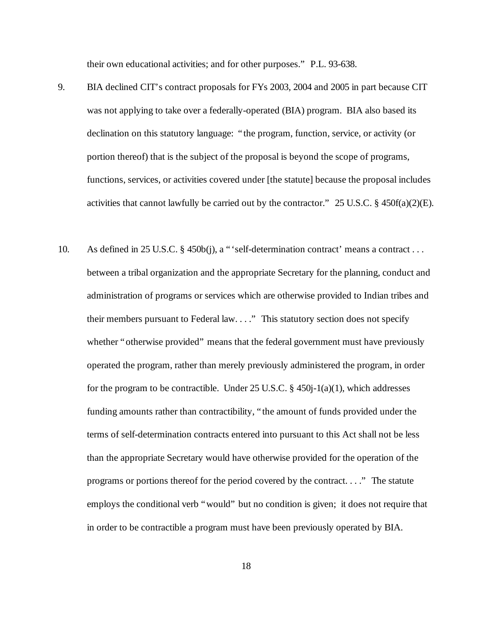their own educational activities; and for other purposes." P.L. 93-638.

- 9. BIA declined CIT's contract proposals for FYs 2003, 2004 and 2005 in part because CIT was not applying to take over a federally-operated (BIA) program. BIA also based its declination on this statutory language: "the program, function, service, or activity (or portion thereof) that is the subject of the proposal is beyond the scope of programs, functions, services, or activities covered under [the statute] because the proposal includes activities that cannot lawfully be carried out by the contractor." 25 U.S.C. § 450f(a)(2)(E).
- 10. As defined in 25 U.S.C. § 450b(j), a "'self-determination contract' means a contract . . . between a tribal organization and the appropriate Secretary for the planning, conduct and administration of programs or services which are otherwise provided to Indian tribes and their members pursuant to Federal law. . . ." This statutory section does not specify whether "otherwise provided" means that the federal government must have previously operated the program, rather than merely previously administered the program, in order for the program to be contractible. Under  $25$  U.S.C. §  $450j-1(a)(1)$ , which addresses funding amounts rather than contractibility, "the amount of funds provided under the terms of self-determination contracts entered into pursuant to this Act shall not be less than the appropriate Secretary would have otherwise provided for the operation of the programs or portions thereof for the period covered by the contract. . . ." The statute employs the conditional verb "would" but no condition is given; it does not require that in order to be contractible a program must have been previously operated by BIA.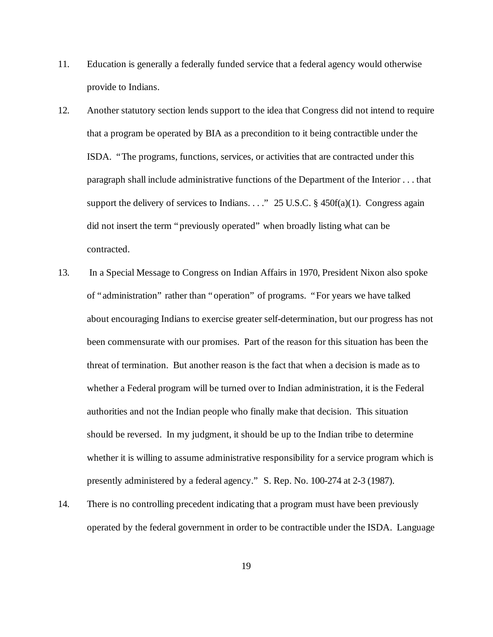- 11. Education is generally a federally funded service that a federal agency would otherwise provide to Indians.
- 12. Another statutory section lends support to the idea that Congress did not intend to require that a program be operated by BIA as a precondition to it being contractible under the ISDA. "The programs, functions, services, or activities that are contracted under this paragraph shall include administrative functions of the Department of the Interior . . . that support the delivery of services to Indians. . . ." 25 U.S.C.  $\S$  450f(a)(1). Congress again did not insert the term "previously operated" when broadly listing what can be contracted.
- 13. In a Special Message to Congress on Indian Affairs in 1970, President Nixon also spoke of "administration" rather than "operation" of programs. "For years we have talked about encouraging Indians to exercise greater self-determination, but our progress has not been commensurate with our promises. Part of the reason for this situation has been the threat of termination. But another reason is the fact that when a decision is made as to whether a Federal program will be turned over to Indian administration, it is the Federal authorities and not the Indian people who finally make that decision. This situation should be reversed. In my judgment, it should be up to the Indian tribe to determine whether it is willing to assume administrative responsibility for a service program which is presently administered by a federal agency." S. Rep. No. 100-274 at 2-3 (1987).
- 14. There is no controlling precedent indicating that a program must have been previously operated by the federal government in order to be contractible under the ISDA. Language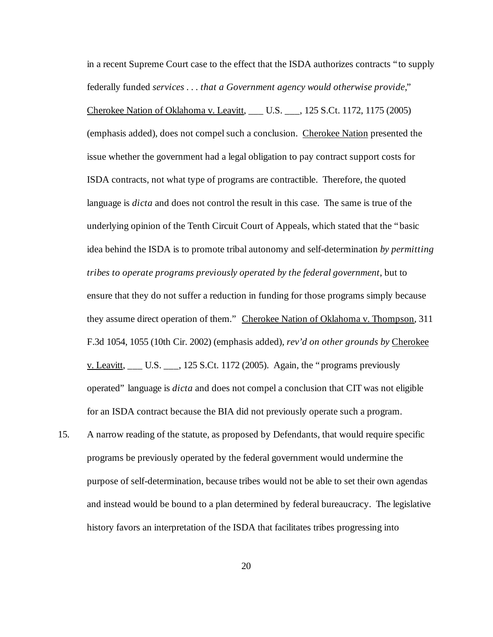in a recent Supreme Court case to the effect that the ISDA authorizes contracts "to supply federally funded *services . . . that a Government agency would otherwise provide*," Cherokee Nation of Oklahoma v. Leavitt, \_\_\_ U.S. \_\_\_, 125 S.Ct. 1172, 1175 (2005) (emphasis added), does not compel such a conclusion. Cherokee Nation presented the issue whether the government had a legal obligation to pay contract support costs for ISDA contracts, not what type of programs are contractible. Therefore, the quoted language is *dicta* and does not control the result in this case. The same is true of the underlying opinion of the Tenth Circuit Court of Appeals, which stated that the "basic idea behind the ISDA is to promote tribal autonomy and self-determination *by permitting tribes to operate programs previously operated by the federal government*, but to ensure that they do not suffer a reduction in funding for those programs simply because they assume direct operation of them." Cherokee Nation of Oklahoma v. Thompson, 311 F.3d 1054, 1055 (10th Cir. 2002) (emphasis added), *rev'd on other grounds by* Cherokee v. Leavitt,  $\frac{1}{125}$  U.S.  $\frac{1}{25}$  S.Ct. 1172 (2005). Again, the "programs previously operated" language is *dicta* and does not compel a conclusion that CIT was not eligible for an ISDA contract because the BIA did not previously operate such a program.

15. A narrow reading of the statute, as proposed by Defendants, that would require specific programs be previously operated by the federal government would undermine the purpose of self-determination, because tribes would not be able to set their own agendas and instead would be bound to a plan determined by federal bureaucracy. The legislative history favors an interpretation of the ISDA that facilitates tribes progressing into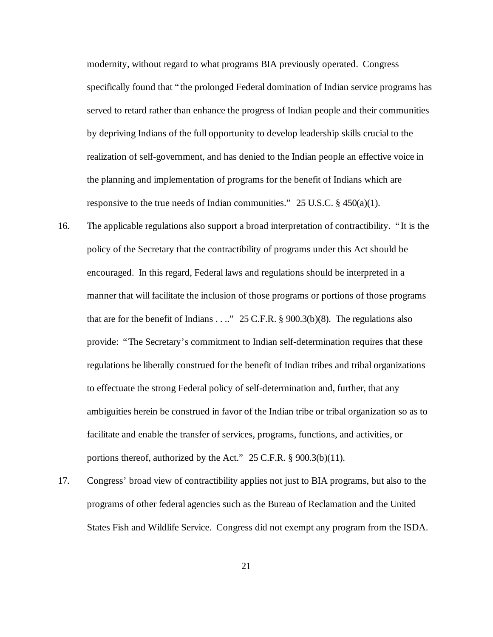modernity, without regard to what programs BIA previously operated. Congress specifically found that "the prolonged Federal domination of Indian service programs has served to retard rather than enhance the progress of Indian people and their communities by depriving Indians of the full opportunity to develop leadership skills crucial to the realization of self-government, and has denied to the Indian people an effective voice in the planning and implementation of programs for the benefit of Indians which are responsive to the true needs of Indian communities."  $25$  U.S.C. § 450(a)(1).

- 16. The applicable regulations also support a broad interpretation of contractibility. "It is the policy of the Secretary that the contractibility of programs under this Act should be encouraged. In this regard, Federal laws and regulations should be interpreted in a manner that will facilitate the inclusion of those programs or portions of those programs that are for the benefit of Indians . . .." 25 C.F.R.  $\S$  900.3(b)(8). The regulations also provide: "The Secretary's commitment to Indian self-determination requires that these regulations be liberally construed for the benefit of Indian tribes and tribal organizations to effectuate the strong Federal policy of self-determination and, further, that any ambiguities herein be construed in favor of the Indian tribe or tribal organization so as to facilitate and enable the transfer of services, programs, functions, and activities, or portions thereof, authorized by the Act." 25 C.F.R. § 900.3(b)(11).
- 17. Congress' broad view of contractibility applies not just to BIA programs, but also to the programs of other federal agencies such as the Bureau of Reclamation and the United States Fish and Wildlife Service. Congress did not exempt any program from the ISDA.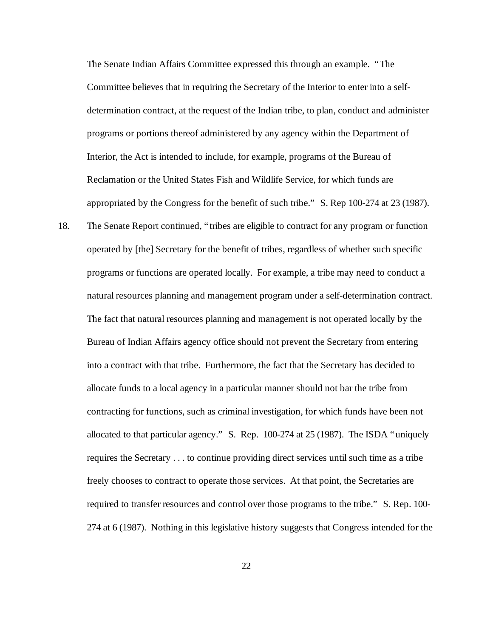The Senate Indian Affairs Committee expressed this through an example. "The Committee believes that in requiring the Secretary of the Interior to enter into a selfdetermination contract, at the request of the Indian tribe, to plan, conduct and administer programs or portions thereof administered by any agency within the Department of Interior, the Act is intended to include, for example, programs of the Bureau of Reclamation or the United States Fish and Wildlife Service, for which funds are appropriated by the Congress for the benefit of such tribe." S. Rep 100-274 at 23 (1987).

18. The Senate Report continued, "tribes are eligible to contract for any program or function operated by [the] Secretary for the benefit of tribes, regardless of whether such specific programs or functions are operated locally. For example, a tribe may need to conduct a natural resources planning and management program under a self-determination contract. The fact that natural resources planning and management is not operated locally by the Bureau of Indian Affairs agency office should not prevent the Secretary from entering into a contract with that tribe. Furthermore, the fact that the Secretary has decided to allocate funds to a local agency in a particular manner should not bar the tribe from contracting for functions, such as criminal investigation, for which funds have been not allocated to that particular agency." S. Rep. 100-274 at 25 (1987). The ISDA "uniquely requires the Secretary . . . to continue providing direct services until such time as a tribe freely chooses to contract to operate those services. At that point, the Secretaries are required to transfer resources and control over those programs to the tribe." S. Rep. 100- 274 at 6 (1987). Nothing in this legislative history suggests that Congress intended for the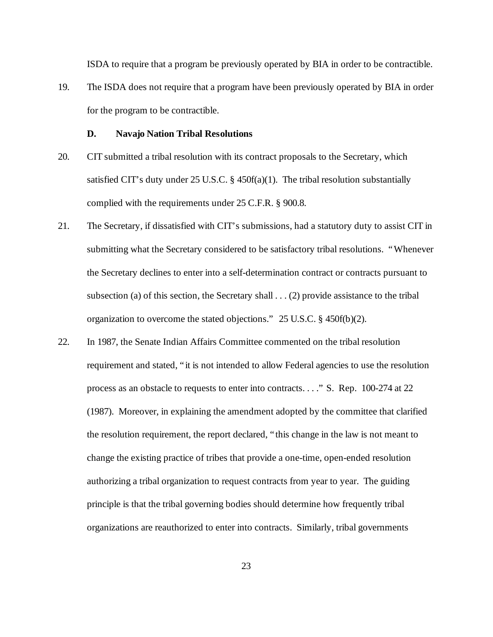ISDA to require that a program be previously operated by BIA in order to be contractible.

19. The ISDA does not require that a program have been previously operated by BIA in order for the program to be contractible.

#### **D. Navajo Nation Tribal Resolutions**

- 20. CIT submitted a tribal resolution with its contract proposals to the Secretary, which satisfied CIT's duty under 25 U.S.C. § 450f(a)(1). The tribal resolution substantially complied with the requirements under 25 C.F.R. § 900.8.
- 21. The Secretary, if dissatisfied with CIT's submissions, had a statutory duty to assist CIT in submitting what the Secretary considered to be satisfactory tribal resolutions. "Whenever the Secretary declines to enter into a self-determination contract or contracts pursuant to subsection (a) of this section, the Secretary shall . . . (2) provide assistance to the tribal organization to overcome the stated objections." 25 U.S.C. § 450f(b)(2).
- 22. In 1987, the Senate Indian Affairs Committee commented on the tribal resolution requirement and stated, "it is not intended to allow Federal agencies to use the resolution process as an obstacle to requests to enter into contracts. . . ." S. Rep. 100-274 at 22 (1987). Moreover, in explaining the amendment adopted by the committee that clarified the resolution requirement, the report declared, "this change in the law is not meant to change the existing practice of tribes that provide a one-time, open-ended resolution authorizing a tribal organization to request contracts from year to year. The guiding principle is that the tribal governing bodies should determine how frequently tribal organizations are reauthorized to enter into contracts. Similarly, tribal governments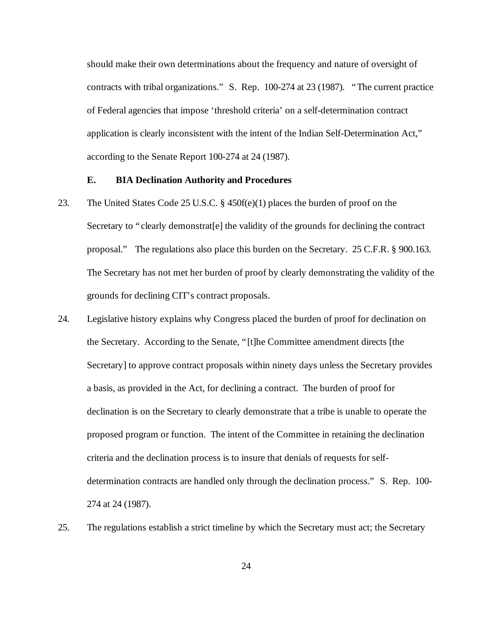should make their own determinations about the frequency and nature of oversight of contracts with tribal organizations." S. Rep. 100-274 at 23 (1987). "The current practice of Federal agencies that impose 'threshold criteria' on a self-determination contract application is clearly inconsistent with the intent of the Indian Self-Determination Act," according to the Senate Report 100-274 at 24 (1987).

#### **E. BIA Declination Authority and Procedures**

- 23. The United States Code 25 U.S.C. § 450f(e)(1) places the burden of proof on the Secretary to "clearly demonstrat<sup>[e]</sup> the validity of the grounds for declining the contract proposal." The regulations also place this burden on the Secretary. 25 C.F.R. § 900.163. The Secretary has not met her burden of proof by clearly demonstrating the validity of the grounds for declining CIT's contract proposals.
- 24. Legislative history explains why Congress placed the burden of proof for declination on the Secretary. According to the Senate, "[t]he Committee amendment directs [the Secretary] to approve contract proposals within ninety days unless the Secretary provides a basis, as provided in the Act, for declining a contract. The burden of proof for declination is on the Secretary to clearly demonstrate that a tribe is unable to operate the proposed program or function. The intent of the Committee in retaining the declination criteria and the declination process is to insure that denials of requests for selfdetermination contracts are handled only through the declination process." S. Rep. 100- 274 at 24 (1987).
- 25. The regulations establish a strict timeline by which the Secretary must act; the Secretary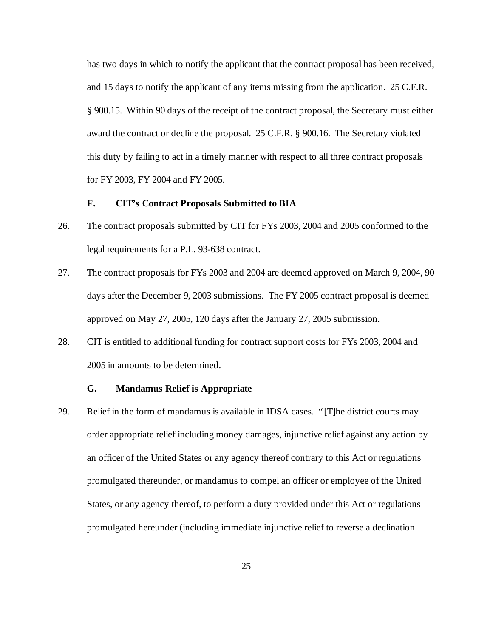has two days in which to notify the applicant that the contract proposal has been received, and 15 days to notify the applicant of any items missing from the application. 25 C.F.R. § 900.15. Within 90 days of the receipt of the contract proposal, the Secretary must either award the contract or decline the proposal. 25 C.F.R. § 900.16. The Secretary violated this duty by failing to act in a timely manner with respect to all three contract proposals for FY 2003, FY 2004 and FY 2005.

#### **F. CIT's Contract Proposals Submitted to BIA**

- 26. The contract proposals submitted by CIT for FYs 2003, 2004 and 2005 conformed to the legal requirements for a P.L. 93-638 contract.
- 27. The contract proposals for FYs 2003 and 2004 are deemed approved on March 9, 2004, 90 days after the December 9, 2003 submissions. The FY 2005 contract proposal is deemed approved on May 27, 2005, 120 days after the January 27, 2005 submission.
- 28. CIT is entitled to additional funding for contract support costs for FYs 2003, 2004 and 2005 in amounts to be determined.

#### **G. Mandamus Relief is Appropriate**

29. Relief in the form of mandamus is available in IDSA cases. "[T]he district courts may order appropriate relief including money damages, injunctive relief against any action by an officer of the United States or any agency thereof contrary to this Act or regulations promulgated thereunder, or mandamus to compel an officer or employee of the United States, or any agency thereof, to perform a duty provided under this Act or regulations promulgated hereunder (including immediate injunctive relief to reverse a declination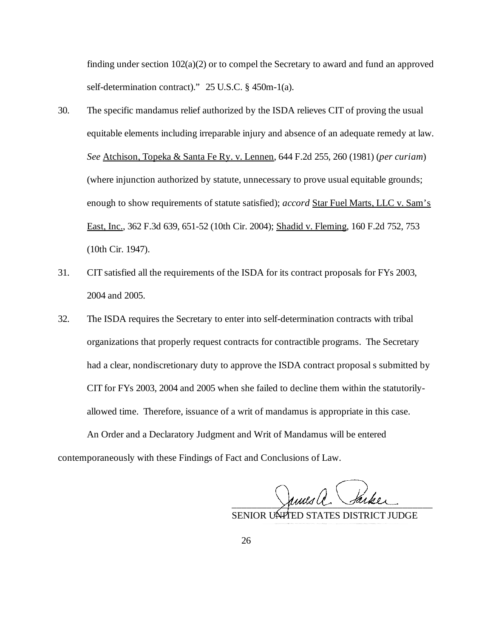finding under section 102(a)(2) or to compel the Secretary to award and fund an approved self-determination contract)." 25 U.S.C. § 450m-1(a).

- 30. The specific mandamus relief authorized by the ISDA relieves CIT of proving the usual equitable elements including irreparable injury and absence of an adequate remedy at law. *See* Atchison, Topeka & Santa Fe Ry. v. Lennen, 644 F.2d 255, 260 (1981) (*per curiam*) (where injunction authorized by statute, unnecessary to prove usual equitable grounds; enough to show requirements of statute satisfied); *accord* Star Fuel Marts, LLC v. Sam's East, Inc., 362 F.3d 639, 651-52 (10th Cir. 2004); Shadid v. Fleming, 160 F.2d 752, 753 (10th Cir. 1947).
- 31. CIT satisfied all the requirements of the ISDA for its contract proposals for FYs 2003, 2004 and 2005.
- 32. The ISDA requires the Secretary to enter into self-determination contracts with tribal organizations that properly request contracts for contractible programs. The Secretary had a clear, nondiscretionary duty to approve the ISDA contract proposal s submitted by CIT for FYs 2003, 2004 and 2005 when she failed to decline them within the statutorilyallowed time. Therefore, issuance of a writ of mandamus is appropriate in this case. An Order and a Declaratory Judgment and Writ of Mandamus will be entered

contemporaneously with these Findings of Fact and Conclusions of Law.

\_\_\_\_\_\_\_\_\_\_\_\_\_\_\_\_\_\_\_\_\_\_\_\_\_\_\_\_\_\_\_\_\_\_\_\_\_\_\_\_

SENIOR UNITED STATES DISTRICT JUDGE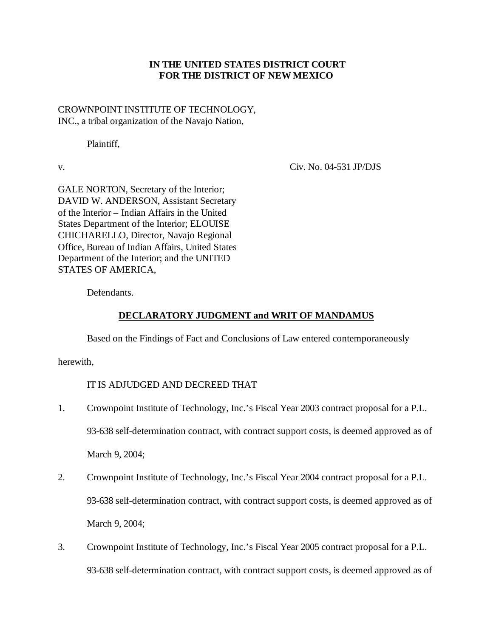# **IN THE UNITED STATES DISTRICT COURT FOR THE DISTRICT OF NEW MEXICO**

CROWNPOINT INSTITUTE OF TECHNOLOGY, INC., a tribal organization of the Navajo Nation,

Plaintiff,

v. Civ. No. 04-531 JP/DJS

GALE NORTON, Secretary of the Interior; DAVID W. ANDERSON, Assistant Secretary of the Interior – Indian Affairs in the United States Department of the Interior; ELOUISE CHICHARELLO, Director, Navajo Regional Office, Bureau of Indian Affairs, United States Department of the Interior; and the UNITED STATES OF AMERICA,

Defendants.

# **DECLARATORY JUDGMENT and WRIT OF MANDAMUS**

Based on the Findings of Fact and Conclusions of Law entered contemporaneously

herewith,

IT IS ADJUDGED AND DECREED THAT

- 1. Crownpoint Institute of Technology, Inc.'s Fiscal Year 2003 contract proposal for a P.L. 93-638 self-determination contract, with contract support costs, is deemed approved as of March 9, 2004;
- 2. Crownpoint Institute of Technology, Inc.'s Fiscal Year 2004 contract proposal for a P.L. 93-638 self-determination contract, with contract support costs, is deemed approved as of March 9, 2004;
- 3. Crownpoint Institute of Technology, Inc.'s Fiscal Year 2005 contract proposal for a P.L. 93-638 self-determination contract, with contract support costs, is deemed approved as of